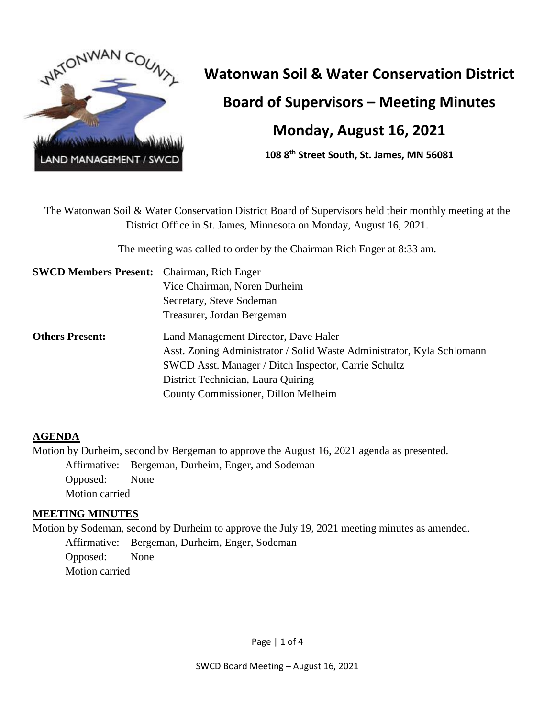

# **Watonwan Soil & Water Conservation District**

**Board of Supervisors – Meeting Minutes**

# **Monday, August 16, 2021**

**108 8th Street South, St. James, MN 56081**

The Watonwan Soil & Water Conservation District Board of Supervisors held their monthly meeting at the District Office in St. James, Minnesota on Monday, August 16, 2021.

The meeting was called to order by the Chairman Rich Enger at 8:33 am.

| <b>SWCD Members Present:</b> Chairman, Rich Enger |                                                                        |  |  |
|---------------------------------------------------|------------------------------------------------------------------------|--|--|
|                                                   | Vice Chairman, Noren Durheim                                           |  |  |
|                                                   | Secretary, Steve Sodeman                                               |  |  |
|                                                   | Treasurer, Jordan Bergeman                                             |  |  |
| <b>Others Present:</b>                            | Land Management Director, Dave Haler                                   |  |  |
|                                                   | Asst. Zoning Administrator / Solid Waste Administrator, Kyla Schlomann |  |  |
|                                                   | SWCD Asst. Manager / Ditch Inspector, Carrie Schultz                   |  |  |
|                                                   | District Technician, Laura Quiring                                     |  |  |
|                                                   | County Commissioner, Dillon Melheim                                    |  |  |

## **AGENDA**

Motion by Durheim, second by Bergeman to approve the August 16, 2021 agenda as presented. Affirmative: Bergeman, Durheim, Enger, and Sodeman Opposed: None Motion carried

## **MEETING MINUTES**

Motion by Sodeman, second by Durheim to approve the July 19, 2021 meeting minutes as amended. Affirmative: Bergeman, Durheim, Enger, Sodeman Opposed: None Motion carried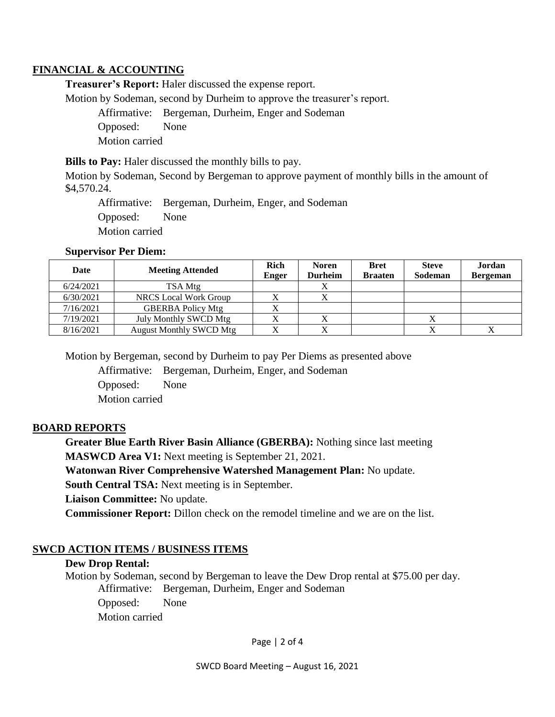#### **FINANCIAL & ACCOUNTING**

**Treasurer's Report:** Haler discussed the expense report.

Motion by Sodeman, second by Durheim to approve the treasurer's report.

Affirmative: Bergeman, Durheim, Enger and Sodeman Opposed: None Motion carried

**Bills to Pay:** Haler discussed the monthly bills to pay.

Motion by Sodeman, Second by Bergeman to approve payment of monthly bills in the amount of \$4,570.24.

Affirmative: Bergeman, Durheim, Enger, and Sodeman Opposed: None Motion carried

#### **Supervisor Per Diem:**

| Date      | <b>Meeting Attended</b>        | Rich<br><b>Enger</b> | <b>Noren</b><br><b>Durheim</b> | <b>Bret</b><br><b>Braaten</b> | <b>Steve</b><br>Sodeman | Jordan<br><b>Bergeman</b> |
|-----------|--------------------------------|----------------------|--------------------------------|-------------------------------|-------------------------|---------------------------|
| 6/24/2021 | TSA Mtg                        |                      | ∡                              |                               |                         |                           |
| 6/30/2021 | <b>NRCS</b> Local Work Group   |                      |                                |                               |                         |                           |
| 7/16/2021 | <b>GBERBA Policy Mtg</b>       |                      |                                |                               |                         |                           |
| 7/19/2021 | July Monthly SWCD Mtg          |                      |                                |                               |                         |                           |
| 8/16/2021 | <b>August Monthly SWCD Mtg</b> |                      |                                |                               |                         |                           |

Motion by Bergeman, second by Durheim to pay Per Diems as presented above

Affirmative: Bergeman, Durheim, Enger, and Sodeman Opposed: None Motion carried

#### **BOARD REPORTS**

**Greater Blue Earth River Basin Alliance (GBERBA):** Nothing since last meeting **MASWCD Area V1:** Next meeting is September 21, 2021.

**Watonwan River Comprehensive Watershed Management Plan:** No update.

**South Central TSA:** Next meeting is in September.

**Liaison Committee:** No update.

**Commissioner Report:** Dillon check on the remodel timeline and we are on the list.

#### **SWCD ACTION ITEMS / BUSINESS ITEMS**

#### **Dew Drop Rental:**

Motion by Sodeman, second by Bergeman to leave the Dew Drop rental at \$75.00 per day. Affirmative: Bergeman, Durheim, Enger and Sodeman

Opposed: None Motion carried

Page | 2 of 4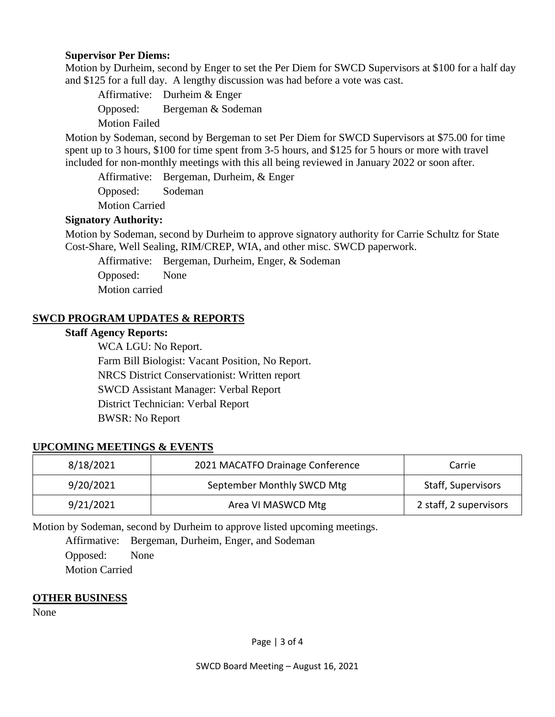#### **Supervisor Per Diems:**

Motion by Durheim, second by Enger to set the Per Diem for SWCD Supervisors at \$100 for a half day and \$125 for a full day. A lengthy discussion was had before a vote was cast.

Affirmative: Durheim & Enger Opposed: Bergeman & Sodeman Motion Failed

Motion by Sodeman, second by Bergeman to set Per Diem for SWCD Supervisors at \$75.00 for time spent up to 3 hours, \$100 for time spent from 3-5 hours, and \$125 for 5 hours or more with travel included for non-monthly meetings with this all being reviewed in January 2022 or soon after.

Affirmative: Bergeman, Durheim, & Enger Opposed: Sodeman

Motion Carried

#### **Signatory Authority:**

Motion by Sodeman, second by Durheim to approve signatory authority for Carrie Schultz for State Cost-Share, Well Sealing, RIM/CREP, WIA, and other misc. SWCD paperwork.

Affirmative: Bergeman, Durheim, Enger, & Sodeman Opposed: None Motion carried

#### **SWCD PROGRAM UPDATES & REPORTS**

#### **Staff Agency Reports:**

WCA LGU: No Report. Farm Bill Biologist: Vacant Position, No Report. NRCS District Conservationist: Written report SWCD Assistant Manager: Verbal Report District Technician: Verbal Report BWSR: No Report

#### **UPCOMING MEETINGS & EVENTS**

| 8/18/2021 | 2021 MACATFO Drainage Conference | Carrie                    |
|-----------|----------------------------------|---------------------------|
| 9/20/2021 | September Monthly SWCD Mtg       | <b>Staff, Supervisors</b> |
| 9/21/2021 | Area VI MASWCD Mtg               | 2 staff, 2 supervisors    |

Motion by Sodeman, second by Durheim to approve listed upcoming meetings.

Affirmative: Bergeman, Durheim, Enger, and Sodeman Opposed: None Motion Carried

#### **OTHER BUSINESS**

None